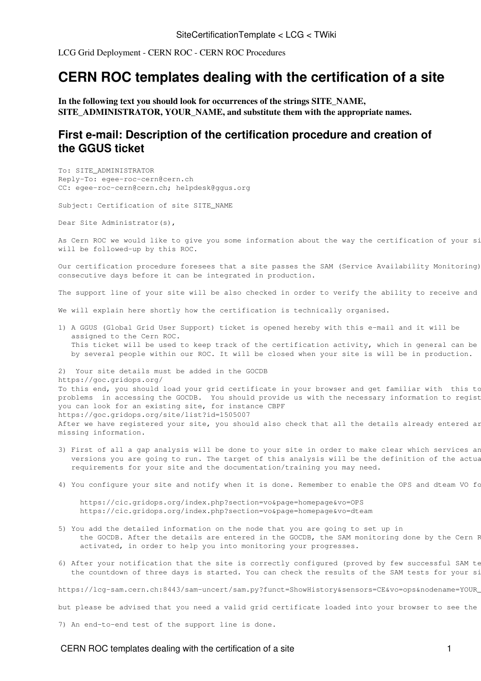[LCG Grid Deployment](https://twiki.cern.ch/twiki/bin/view/LCG/LCGGridDeployment) - [CERN ROC](https://twiki.cern.ch/twiki/bin/view/LCG/CERNROC) - [CERN ROC Procedures](https://twiki.cern.ch/twiki/bin/view/LCG/CERNROCProcedures)

## **CERN ROC templates dealing with the certification of a site**

**In the following text you should look for occurrences of the strings SITE\_NAME, SITE\_ADMINISTRATOR, YOUR\_NAME, and substitute them with the appropriate names.**

## **First e-mail: Description of the certification procedure and creation of the GGUS ticket**

To: SITE\_ADMINISTRATOR Reply-To: egee-roc-cern@cern.ch CC: egee-roc-cern@cern.ch; helpdesk@ggus.org

Subject: Certification of site SITE\_NAME

Dear Site Administrator(s),

As Cern ROC we would like to give you some information about the way the certification of your si will be followed-up by this ROC.

Our certification procedure foresees that a site passes the SAM (Service Availability Monitoring) consecutive days before it can be integrated in production.

The support line of your site will be also checked in order to verify the ability to receive and

We will explain here shortly how the certification is technically organised.

1) A GGUS (Global Grid User Support) ticket is opened hereby with this e-mail and it will be assigned to the Cern ROC. This ticket will be used to keep track of the certification activity, which in general can be by several people within our ROC. It will be closed when your site is will be in production.

2) Your site details must be added in the GOCDB https://goc.gridops.org/ To this end, you should load your grid certificate in your browser and get familiar with this to problems in accessing the GOCDB. You should provide us with the necessary information to regist you can look for an existing site, for instance CBPF https://goc.gridops.org/site/list?id=1505007 After we have registered your site, you should also check that all the details already entered ar missing information.

- 3) First of all a gap analysis will be done to your site in order to make clear which services an versions you are going to run. The target of this analysis will be the definition of the actua requirements for your site and the documentation/training you may need.
- 4) You configure your site and notify when it is done. Remember to enable the OPS and dteam VO fo

 https://cic.gridops.org/index.php?section=vo&page=homepage&vo=OPS https://cic.gridops.org/index.php?section=vo&page=homepage&vo=dteam

- 5) You add the detailed information on the node that you are going to set up in the GOCDB. After the details are entered in the GOCDB, the SAM monitoring done by the Cern F activated, in order to help you into monitoring your progresses.
- 6) After your notification that the site is correctly configured (proved by few successful SAM te the countdown of three days is started. You can check the results of the SAM tests for your si

https://lcg-sam.cern.ch:8443/sam-uncert/sam.py?funct=ShowHistory&sensors=CE&vo=ops&nodename=YOUR\_

but please be advised that you need a valid grid certificate loaded into your browser to see the

7) An end-to-end test of the support line is done.

## CERN ROC templates dealing with the certification of a site 11 and 1